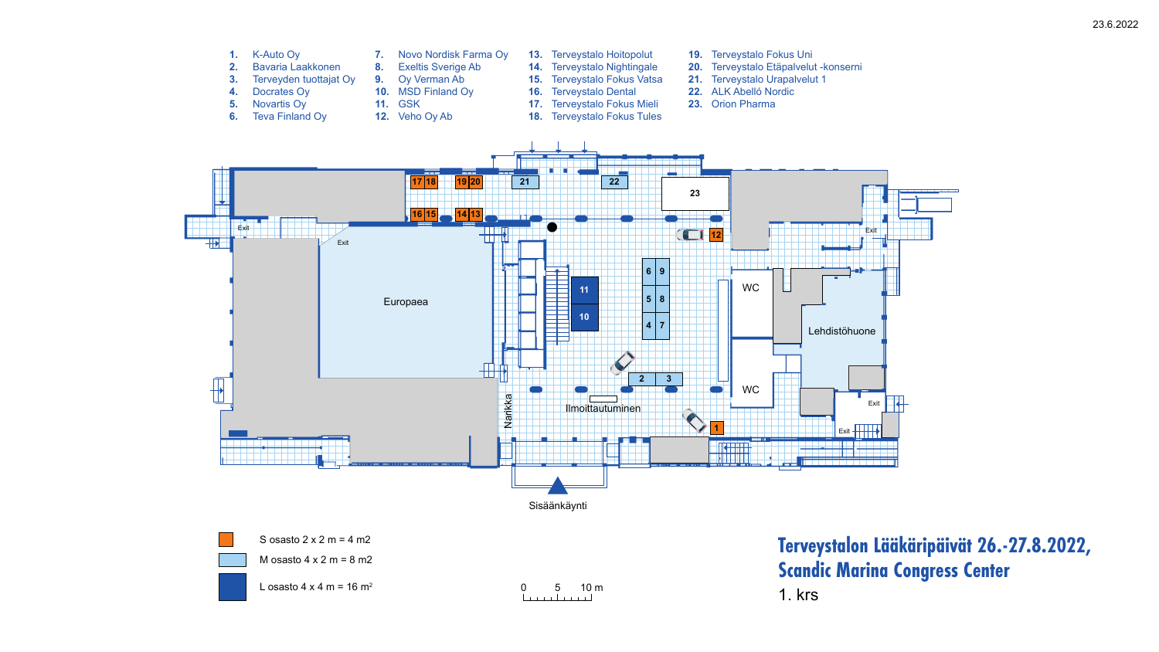23.6.2022





S osasto  $2 \times 2$  m = 4 m2

M osasto  $4 \times 2$  m = 8 m2



L osasto  $4 \times 4$  m = 16 m<sup>2</sup>

Sisäänkäynti

0 5 10 m

- **1.** K-Auto Oy
- **2.** Bavaria Laakkonen
- **3.** Terveyden tuottajat Oy
- **4.** Docrates Oy
- **5.** Novartis Oy
- **6.** Teva Finland Oy
- **7.** Novo Nordisk Farma Oy
- **8.** Exeltis Sverige Ab
- **9.** Oy Verman Ab
- **10.** MSD Finland Oy
- **11.** GSK
- **12.** Veho Oy Ab
- **13.** Terveystalo Hoitopolut **14.** Terveystalo Nightingale **15.** Terveystalo Fokus Vatsa **16.** Terveystalo Dental **17.** Terveystalo Fokus Mieli **18.** Terveystalo Fokus Tules
- **19.** Terveystalo Fokus Uni
- **20.** Terveystalo Etäpalvelut -konserni
- **21.** Terveystalo Urapalvelut 1
- **22.** ALK Abelló Nordic
- **23.** Orion Pharma

## **Terveystalon Lääkäripäivät 26.-27.8.2022, Scandic Marina Congress Center**

1. krs